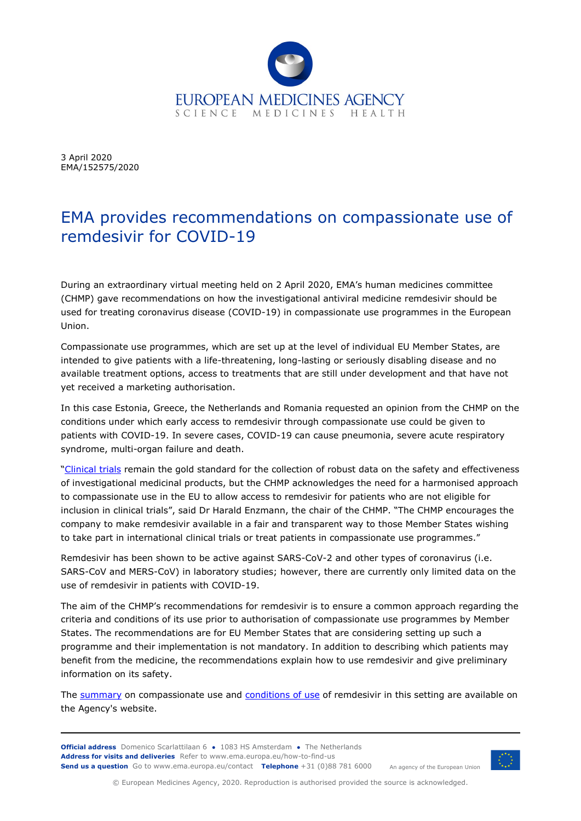

3 April 2020 EMA/152575/2020

## EMA provides recommendations on compassionate use of remdesivir for COVID-19

During an extraordinary virtual meeting held on 2 April 2020, EMA's human medicines committee (CHMP) gave recommendations on how the investigational antiviral medicine remdesivir should be used for treating coronavirus disease (COVID-19) in compassionate use programmes in the European Union.

Compassionate use programmes, which are set up at the level of individual EU Member States, are intended to give patients with a life-threatening, long-lasting or seriously disabling disease and no available treatment options, access to treatments that are still under development and that have not yet received a marketing authorisation.

In this case Estonia, Greece, the Netherlands and Romania requested an opinion from the CHMP on the conditions under which early access to remdesivir through compassionate use could be given to patients with COVID-19. In severe cases, COVID-19 can cause pneumonia, severe acute respiratory syndrome, multi-organ failure and death.

["Clinical trials](https://www.ema.europa.eu/en/news/call-pool-research-resources-large-multi-centre-multi-arm-clinical-trials-generate-sound-evidence) remain the gold standard for the collection of robust data on the safety and effectiveness of investigational medicinal products, but the CHMP acknowledges the need for a harmonised approach to compassionate use in the EU to allow access to remdesivir for patients who are not eligible for inclusion in clinical trials", said Dr Harald Enzmann, the chair of the CHMP. "The CHMP encourages the company to make remdesivir available in a fair and transparent way to those Member States wishing to take part in international clinical trials or treat patients in compassionate use programmes."

Remdesivir has been shown to be active against SARS-CoV-2 and other types of coronavirus (i.e. SARS-CoV and MERS-CoV) in laboratory studies; however, there are currently only limited data on the use of remdesivir in patients with COVID-19.

The aim of the CHMP's recommendations for remdesivir is to ensure a common approach regarding the criteria and conditions of its use prior to authorisation of compassionate use programmes by Member States. The recommendations are for EU Member States that are considering setting up such a programme and their implementation is not mandatory. In addition to describing which patients may benefit from the medicine, the recommendations explain how to use remdesivir and give preliminary information on its safety.

The [summary](https://www.ema.europa.eu/en/documents/other/summary-compassionate-use-remdesivir-gilead_en.pdf) on compassionate use and [conditions of use](https://www.ema.europa.eu/en/documents/other/conditions-use-conditions-distribution-patients-targeted-conditions-safety-monitoring-adressed_en-2.pdf) of remdesivir in this setting are available on the Agency's website.

**Official address** Domenico Scarlattilaan 6 **●** 1083 HS Amsterdam **●** The Netherlands An agency of the European Union **Address for visits and deliveries** Refer to [www.ema.europa.eu/how-to-find-us](http://www.ema.europa.eu/how-to-find-us) **Send us a question** Go t[o www.ema.europa.eu/contact](http://www.ema.europa.eu/contact) **Telephone** +31 (0)88 781 6000



© European Medicines Agency, 2020. Reproduction is authorised provided the source is acknowledged.